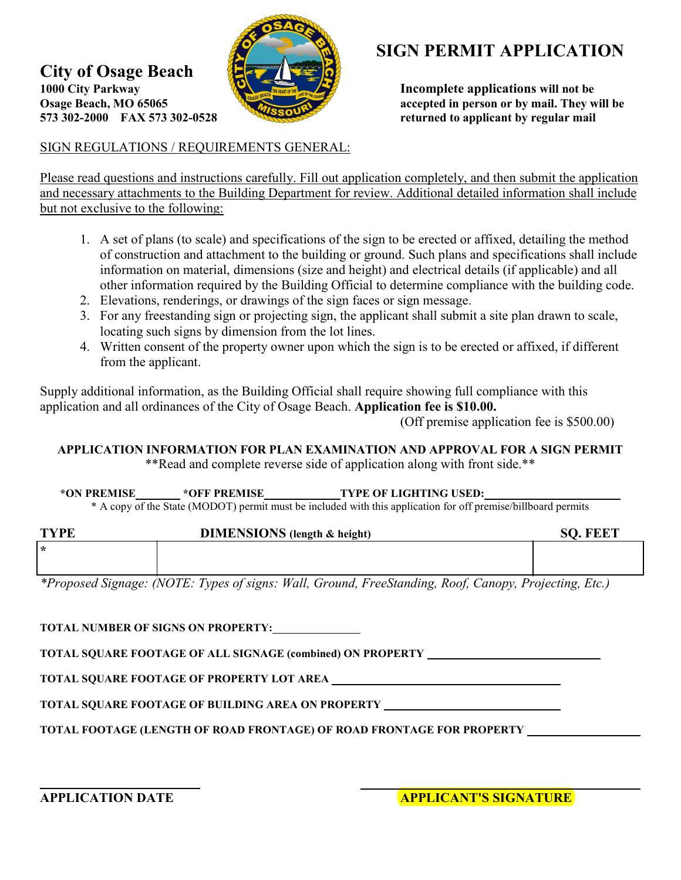

## **SIGN PERMIT APPLICATION**

**1000 City Parkway** *Incomplete applications will not be Osage Beach, MO 65065* **<b>***Incomplete applications will not be Allowsky Incomplete applications will not be Allowsky Allowsky Allowsky All* Osage Beach, MO 65065 **accepted in person or by mail. They will be**<br>573 302-2000 FAX 573 302-0528 **accepted in person or by mail. They will be fixturned to applicant by regular mail** 

## SIGN REGULATIONS / REQUIREMENTS GENERAL:

**City of Osage Beach** 

Please read questions and instructions carefully. Fill out application completely, and then submit the application and necessary attachments to the Building Department for review. Additional detailed information shall include but not exclusive to the following:

- 1. A set of plans (to scale) and specifications of the sign to be erected or affixed, detailing the method of construction and attachment to the building or ground. Such plans and specifications shall include information on material, dimensions (size and height) and electrical details (if applicable) and all other information required by the Building Official to determine compliance with the building code.
- 2. Elevations, renderings, or drawings of the sign faces or sign message.
- 3. For any freestanding sign or projecting sign, the applicant shall submit a site plan drawn to scale, locating such signs by dimension from the lot lines.
- 4. Written consent of the property owner upon which the sign is to be erected or affixed, if different from the applicant.

Supply additional information, as the Building Official shall require showing full compliance with this application and all ordinances of the City of Osage Beach. **Application fee is \$10.00.** 

(Off premise application fee is \$500.00)

## **APPLICATION INFORMATION FOR PLAN EXAMINATION AND APPROVAL FOR A SIGN PERMIT**  \*\*Read and complete reverse side of application along with front side.\*\*

**\*ON PREMISE \*OFF PREMISE TYPE OF LIGHTING USED:** 

\* A copy of the State (MODOT) permit must be included with this application for off premise/billboard permits

| <b>TYPE</b> | <b>DIMENSIONS</b> (length & height) | <b>SO. FEET</b> |
|-------------|-------------------------------------|-----------------|
| $\star$     |                                     |                 |
|             |                                     |                 |

*\*Proposed Signage: (NOTE: Types of signs: Wall, Ground, FreeStanding, Roof, Canopy, Projecting, Etc.)* 

**TOTAL NUMBER OF SIGNS ON PROPERTY:** 

**TOTAL SQUARE FOOTAGE OF ALL SIGNAGE (combined) ON PROPERTY** 

**TOTAL SQUARE FOOTAGE OF PROPERTY LOT AREA** 

**TOTAL SQUARE FOOTAGE OF BUILDING AREA ON PROPERTY** 

**TOTAL FOOTAGE (LENGTH OF ROAD FRONTAGE) OF ROAD FRONTAGE FOR PROPERTY**